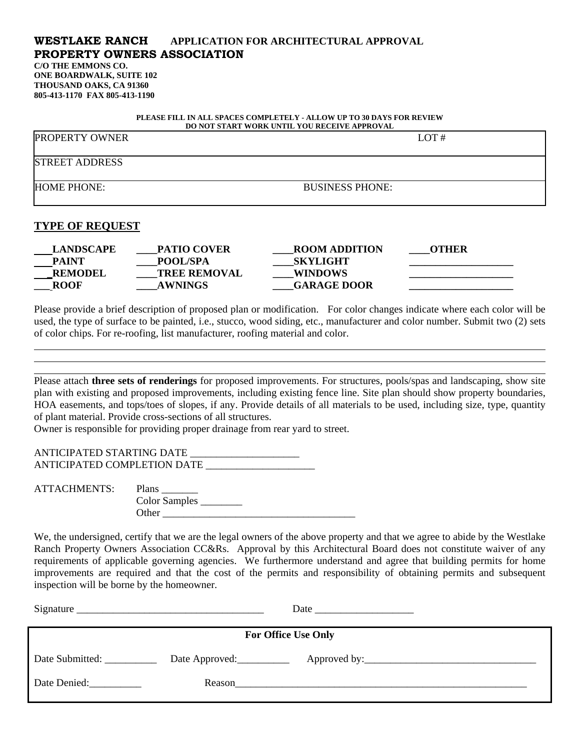## **WESTLAKE RANCH APPLICATION FOR ARCHITECTURAL APPROVAL PROPERTY OWNERS ASSOCIATION**

**C/O THE EMMONS CO. ONE BOARDWALK, SUITE 102 THOUSAND OAKS, CA 91360 805-413-1170 FAX 805-413-1190** 

| PLEASE FILL IN ALL SPACES COMPLETELY - ALLOW UP TO 30 DAYS FOR REVIEW<br>DO NOT START WORK UNTIL YOU RECEIVE APPROVAL |                        |      |  |  |
|-----------------------------------------------------------------------------------------------------------------------|------------------------|------|--|--|
| PROPERTY OWNER                                                                                                        |                        | LOT# |  |  |
| <b>STREET ADDRESS</b>                                                                                                 |                        |      |  |  |
| HOME PHONE:                                                                                                           | <b>BUSINESS PHONE:</b> |      |  |  |
| TVDE AF DEAHECT                                                                                                       |                        |      |  |  |

## **TYPE OF REQUEST**

l

| <b>LANDSCAPE</b> | <b>PATIO COVER</b>  | <b>ROOM ADDITION</b> | OTHER |
|------------------|---------------------|----------------------|-------|
| <b>PAINT</b>     | <b>POOL/SPA</b>     | <b>SKYLIGHT</b>      |       |
| <b>REMODEL</b>   | <b>TREE REMOVAL</b> | <b>WINDOWS</b>       |       |
| <b>ROOF</b>      | <b>AWNINGS</b>      | <b>GARAGE DOOR</b>   |       |
|                  |                     |                      |       |

Please provide a brief description of proposed plan or modification. For color changes indicate where each color will be used, the type of surface to be painted, i.e., stucco, wood siding, etc., manufacturer and color number. Submit two (2) sets of color chips. For re-roofing, list manufacturer, roofing material and color. l

Please attach **three sets of renderings** for proposed improvements. For structures, pools/spas and landscaping, show site plan with existing and proposed improvements, including existing fence line. Site plan should show property boundaries, HOA easements, and tops/toes of slopes, if any. Provide details of all materials to be used, including size, type, quantity of plant material. Provide cross-sections of all structures.

Owner is responsible for providing proper drainage from rear yard to street.

ANTICIPATED STARTING DATE \_ ANTICIPATED COMPLETION DATE

ATTACHMENTS: Plans Color Samples Other \_\_\_\_\_\_\_\_\_\_\_\_\_\_\_\_\_\_\_\_\_\_\_\_\_\_\_\_\_\_\_\_\_\_\_\_\_

We, the undersigned, certify that we are the legal owners of the above property and that we agree to abide by the Westlake Ranch Property Owners Association CC&Rs. Approval by this Architectural Board does not constitute waiver of any requirements of applicable governing agencies. We furthermore understand and agree that building permits for home improvements are required and that the cost of the permits and responsibility of obtaining permits and subsequent inspection will be borne by the homeowner.

| Signature<br><u> 2000 - Jan Barnett, mars et al. 1999 - Ann an Dùbhlachd ann an t-ann an t-ann an t-ann an t-ann an t-ann an t-</u> |                |  |  |  |
|-------------------------------------------------------------------------------------------------------------------------------------|----------------|--|--|--|
| <b>For Office Use Only</b>                                                                                                          |                |  |  |  |
| Date Submitted:                                                                                                                     | Date Approved: |  |  |  |
| Date Denied:                                                                                                                        | Reason         |  |  |  |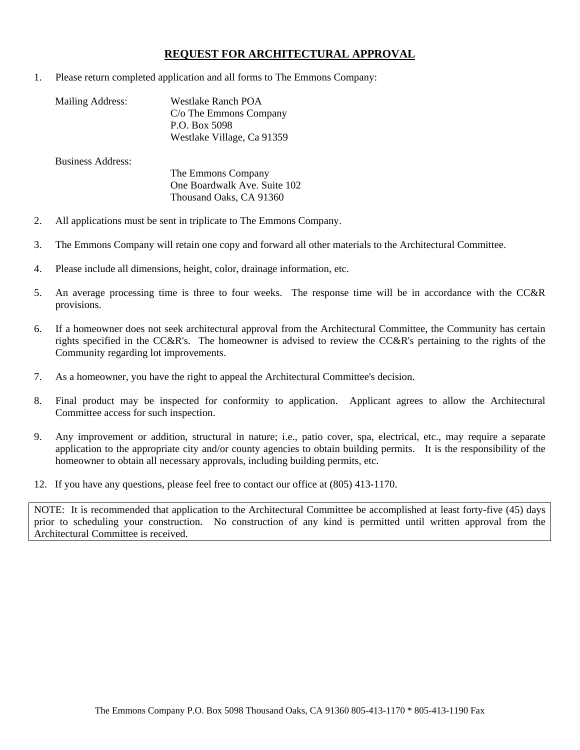## **REQUEST FOR ARCHITECTURAL APPROVAL**

1. Please return completed application and all forms to The Emmons Company:

| Mailing Address: | Westlake Ranch POA         |
|------------------|----------------------------|
|                  | C/o The Emmons Company     |
|                  | P.O. Box 5098              |
|                  | Westlake Village, Ca 91359 |
|                  |                            |

Business Address:

 The Emmons Company One Boardwalk Ave. Suite 102 Thousand Oaks, CA 91360

- 2. All applications must be sent in triplicate to The Emmons Company.
- 3. The Emmons Company will retain one copy and forward all other materials to the Architectural Committee.
- 4. Please include all dimensions, height, color, drainage information, etc.
- 5. An average processing time is three to four weeks. The response time will be in accordance with the CC&R provisions.
- 6. If a homeowner does not seek architectural approval from the Architectural Committee, the Community has certain rights specified in the CC&R's. The homeowner is advised to review the CC&R's pertaining to the rights of the Community regarding lot improvements.
- 7. As a homeowner, you have the right to appeal the Architectural Committee's decision.
- 8. Final product may be inspected for conformity to application. Applicant agrees to allow the Architectural Committee access for such inspection.
- 9. Any improvement or addition, structural in nature; i.e., patio cover, spa, electrical, etc., may require a separate application to the appropriate city and/or county agencies to obtain building permits. It is the responsibility of the homeowner to obtain all necessary approvals, including building permits, etc.
- 12. If you have any questions, please feel free to contact our office at (805) 413-1170.

NOTE: It is recommended that application to the Architectural Committee be accomplished at least forty-five (45) days prior to scheduling your construction. No construction of any kind is permitted until written approval from the Architectural Committee is received.